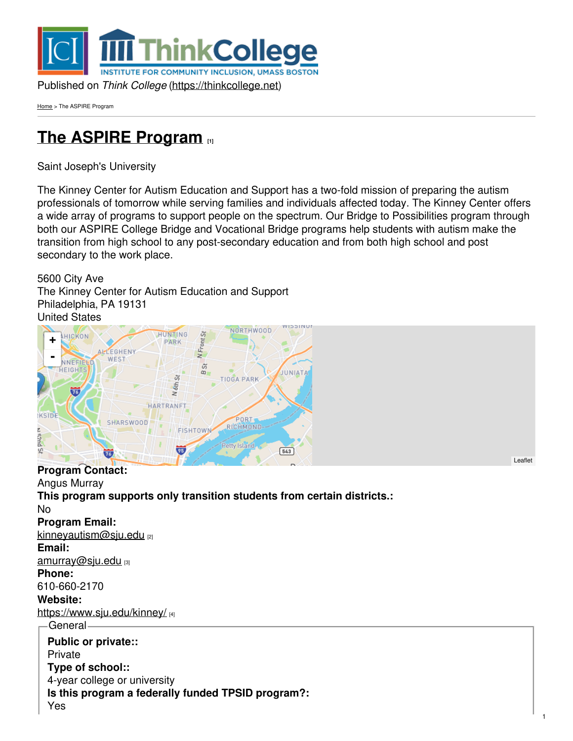

[Home](https://thinkcollege.net/) > The ASPIRE Program

# **The ASPIRE [Program](https://thinkcollege.net/programs/the-aspire-program-0) [1]**

Saint Joseph's University

The Kinney Center for Autism Education and Support has a two-fold mission of preparing the autism professionals of tomorrow while serving families and individuals affected today. The Kinney Center offers a wide array of programs to support people on the spectrum. Our Bridge to Possibilities program through both our ASPIRE College Bridge and Vocational Bridge programs help students with autism make the transition from high school to any post-secondary education and from both high school and post secondary to the work place.

5600 City Ave The Kinney Center for Autism Education and Support Philadelphia, PA 19131 United States



**Program Contact:**

Angus Murray **This program supports only transition students from certain districts.:** No **Program Email:** [kinneyautism@sju.edu](mailto:kinneyautism@sju.edu) [2] **Email:** [amurray@sju.edu](mailto:amurray@sju.edu) [3] **Phone:** 610-660-2170 **Website:** <https://www.sju.edu/kinney/> [4] General **Public or private::** Private **Type of school::** 4-year college or university **Is this program a federally funded TPSID program?:**

[Leaflet](http://leafletjs.com)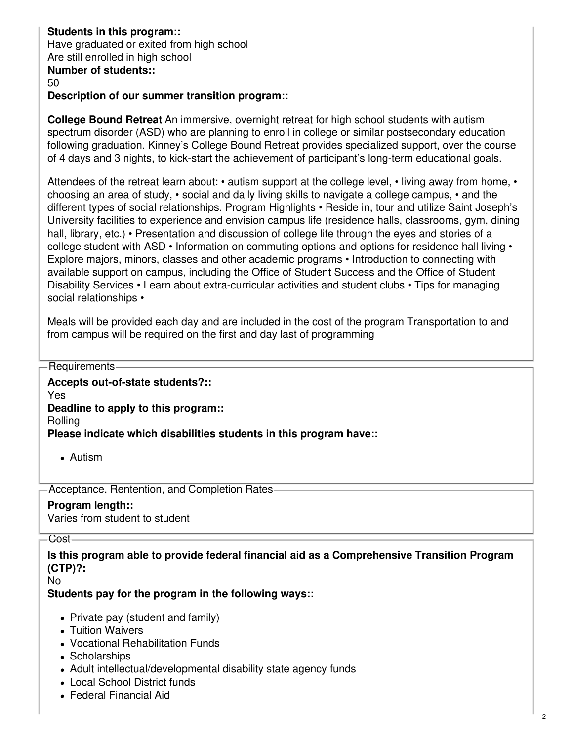#### **Students in this program::** Have graduated or exited from high school Are still enrolled in high school **Number of students::**

#### 50

#### **Description of our summer transition program::**

**College Bound Retreat** An immersive, overnight retreat for high school students with autism spectrum disorder (ASD) who are planning to enroll in college or similar postsecondary education following graduation. Kinney's College Bound Retreat provides specialized support, over the course of 4 days and 3 nights, to kick-start the achievement of participant's long-term educational goals.

Attendees of the retreat learn about: • autism support at the college level, • living away from home, • choosing an area of study, • social and daily living skills to navigate a college campus, • and the different types of social relationships. Program Highlights • Reside in, tour and utilize Saint Joseph's University facilities to experience and envision campus life (residence halls, classrooms, gym, dining hall, library, etc.) • Presentation and discussion of college life through the eyes and stories of a college student with ASD • Information on commuting options and options for residence hall living • Explore majors, minors, classes and other academic programs • Introduction to connecting with available support on campus, including the Office of Student Success and the Office of Student Disability Services • Learn about extra-curricular activities and student clubs • Tips for managing social relationships •

Meals will be provided each day and are included in the cost of the program Transportation to and from campus will be required on the first and day last of programming

Requirements

**Accepts out-of-state students?::**

Yes

**Deadline to apply to this program::**

Rolling

**Please indicate which disabilities students in this program have::**

Autism

Acceptance, Rentention, and Completion Rates

#### **Program length::**

Varies from student to student

Cost-

**Is this program able to provide federal financial aid as a Comprehensive Transition Program (CTP)?:**

No

#### **Students pay for the program in the following ways::**

- Private pay (student and family)
- Tuition Waivers
- Vocational Rehabilitation Funds
- Scholarships
- Adult intellectual/developmental disability state agency funds
- Local School District funds
- Federal Financial Aid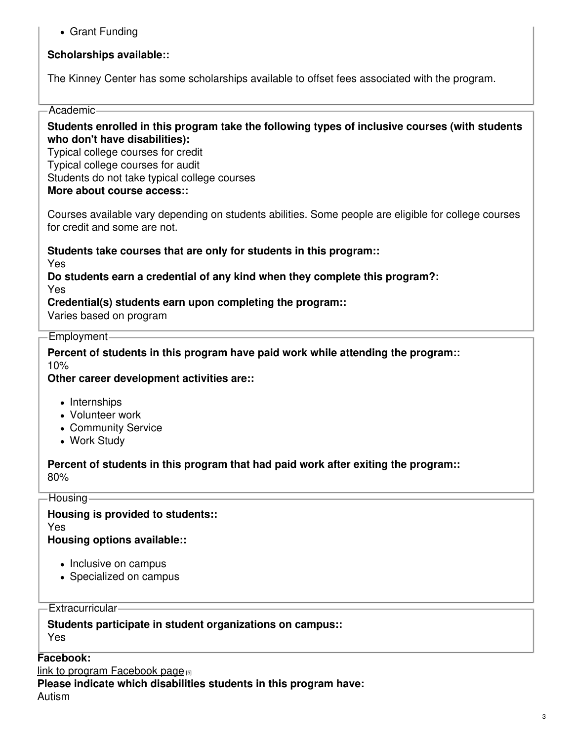Grant Funding

### **Scholarships available::**

The Kinney Center has some scholarships available to offset fees associated with the program.

#### Academic

**Students enrolled in this program take the following types of inclusive courses (with students who don't have disabilities):**

Typical college courses for credit Typical college courses for audit Students do not take typical college courses **More about course access::**

Courses available vary depending on students abilities. Some people are eligible for college courses for credit and some are not.

**Students take courses that are only for students in this program::**

Yes

**Do students earn a credential of any kind when they complete this program?:** Yes

**Credential(s) students earn upon completing the program::**

Varies based on program

#### Employment

**Percent of students in this program have paid work while attending the program::** 10%

**Other career development activities are::**

- Internships
- Volunteer work
- Community Service
- Work Study

**Percent of students in this program that had paid work after exiting the program::** 80%

**Housing** 

**Housing is provided to students::** Yes **Housing options available::**

- Inclusive on campus
- Specialized on campus

Extracurricular

**Students participate in student organizations on campus::** Yes

#### **Facebook:**

link to program [Facebook](https://www.facebook.com/KinneyCenter) page [5]

**Please indicate which disabilities students in this program have:**

Autism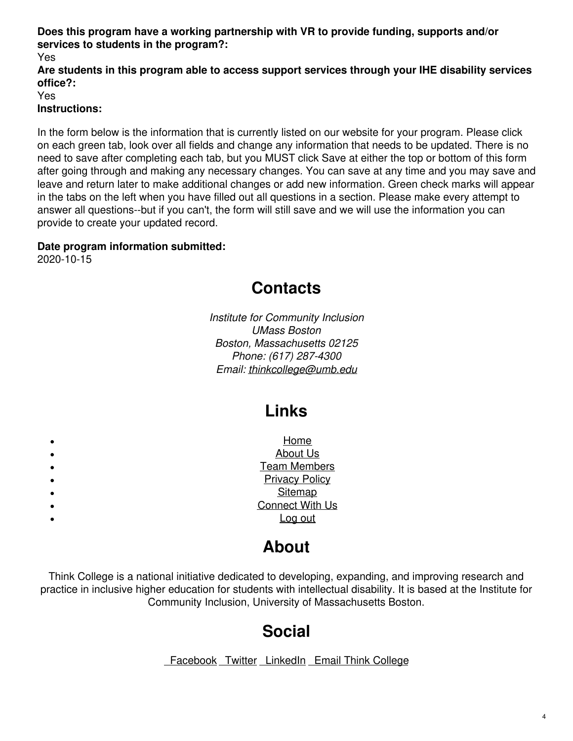### **Does this program have a working partnership with VR to provide funding, supports and/or services to students in the program?:**

Yes

**Are students in this program able to access support services through your IHE disability services office?:**

Yes **Instructions:**

In the form below is the information that is currently listed on our website for your program. Please click on each green tab, look over all fields and change any information that needs to be updated. There is no need to save after completing each tab, but you MUST click Save at either the top or bottom of this form after going through and making any necessary changes. You can save at any time and you may save and leave and return later to make additional changes or add new information. Green check marks will appear in the tabs on the left when you have filled out all questions in a section. Please make every attempt to answer all questions--but if you can't, the form will still save and we will use the information you can provide to create your updated record.

### **Date program information submitted:**

2020-10-15

## **Contacts**

*Institute for Community Inclusion UMass Boston Boston, Massachusetts 02125 Phone: (617) 287-4300 Email: [thinkcollege@umb.edu](mailto:thinkcollege@umb.edu)*

# **Links**

| Home                   |
|------------------------|
| About Us               |
| <b>Team Members</b>    |
| <b>Privacy Policy</b>  |
| Sitemap                |
| <b>Connect With Us</b> |
| Log out                |
|                        |

# **About**

Think College is a national initiative dedicated to developing, expanding, and improving research and practice in inclusive higher education for students with intellectual disability. It is based at the Institute for Community Inclusion, University of Massachusetts Boston.

# **Social**

[Facebook](https://www.facebook.com/thinkcollege/) [Twitter](https://twitter.com/thinkcollegeICI) [LinkedIn](https://www.linkedin.com/company/think-college?trk=public_profile_experience-item_profile-section-card_subtitle-click) Email Think [College](mailto:thinkcollege@umb.edu)